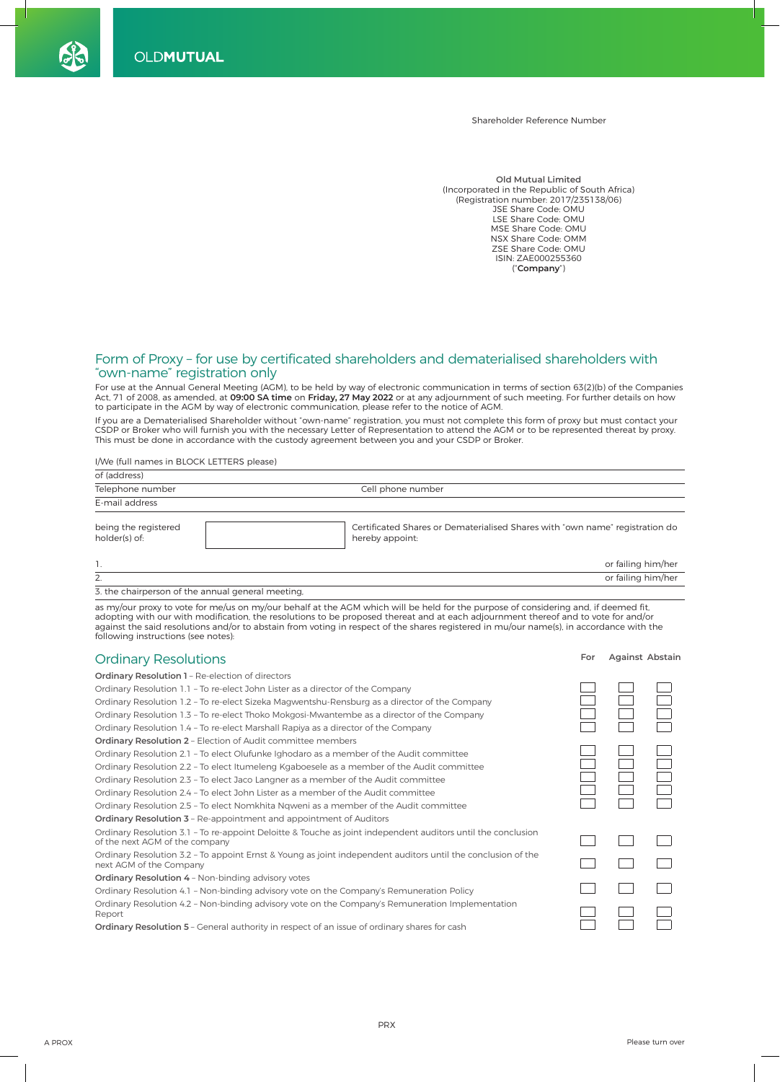Shareholder Reference Number

**Old Mutual Limited** (Incorporated in the Republic of South Africa) (Registration number: 2017/235138/06) JSE Share Code: OMU LSE Share Code: OMU MSE Share Code: OMU NSX Share Code: OMM ZSE Share Code: OMU ISIN: ZAE000255360 (" **Company** ")

## Form of Proxy - for use by certificated shareholders and dematerialised shareholders with "own-name" registration only

 For use at the Annual General Meeting (AGM), to be held by way of electronic communication in terms of section 63(2)(b) of the Companies Act, 71 of 2008, as amended, at **09:00 SA time** on **Friday, 27 May 2022** or at any adjournment of such meeting. For further details on how<br>to participate in the AGM by way of electronic communication, please refer to the n

 If you are a Dematerialised Shareholder without "own-name" registration, you must not complete this form of proxy but must contact your CSDP or Broker who will furnish you with the necessary Letter of Representation to attend the AGM or to be represented thereat by proxy. This must be done in accordance with the custody agreement between you and your CSDP or Broker.

I/We (full names in BLOCK LETTERS please)

| of (address)                          |                                                                                                 |
|---------------------------------------|-------------------------------------------------------------------------------------------------|
| Telephone number                      | Cell phone number                                                                               |
| E-mail address                        |                                                                                                 |
| being the registered<br>holder(s) of: | Certificated Shares or Dematerialised Shares with "own name" registration do<br>hereby appoint: |
| 1.                                    | or failing him/her                                                                              |
| 2.                                    | or failing him/her                                                                              |

3. the chairperson of the annual general meeting,

as my/our proxy to vote for me/us on my/our behalf at the AGM which will be held for the purpose of considering and, if deemed fit, adopting with our with modification, the resolutions to be proposed thereat and at each adjournment thereof and to vote for and/or against the said resolutions and/or to abstain from voting in respect of the shares registered in mu/our name(s), in accordance with the following instructions (see notes):

| <b>Ordinary Resolutions</b>                                                                                                                    | For | Against Abstain |  |
|------------------------------------------------------------------------------------------------------------------------------------------------|-----|-----------------|--|
| Ordinary Resolution 1 - Re-election of directors                                                                                               |     |                 |  |
| Ordinary Resolution 1.1 - To re-elect John Lister as a director of the Company                                                                 |     |                 |  |
| Ordinary Resolution 1.2 - To re-elect Sizeka Magwentshu-Rensburg as a director of the Company                                                  |     |                 |  |
| Ordinary Resolution 1.3 - To re-elect Thoko Mokgosi-Mwantembe as a director of the Company                                                     |     |                 |  |
| Ordinary Resolution 1.4 - To re-elect Marshall Rapiya as a director of the Company                                                             |     |                 |  |
| <b>Ordinary Resolution 2 - Election of Audit committee members</b>                                                                             |     |                 |  |
| Ordinary Resolution 2.1 - To elect Olufunke Ighodaro as a member of the Audit committee                                                        |     |                 |  |
| Ordinary Resolution 2.2 - To elect Itumeleng Kgaboesele as a member of the Audit committee                                                     |     |                 |  |
| Ordinary Resolution 2.3 - To elect Jaco Langner as a member of the Audit committee                                                             |     |                 |  |
| Ordinary Resolution 2.4 - To elect John Lister as a member of the Audit committee                                                              |     |                 |  |
| Ordinary Resolution 2.5 - To elect Nomkhita Ngweni as a member of the Audit committee                                                          |     |                 |  |
| Ordinary Resolution 3 - Re-appointment and appointment of Auditors                                                                             |     |                 |  |
| Ordinary Resolution 3.1 - To re-appoint Deloitte & Touche as joint independent auditors until the conclusion<br>of the next AGM of the company |     |                 |  |
| Ordinary Resolution 3.2 - To appoint Ernst & Young as joint independent auditors until the conclusion of the<br>next AGM of the Company        |     |                 |  |
| <b>Ordinary Resolution 4 - Non-binding advisory votes</b>                                                                                      |     |                 |  |
| Ordinary Resolution 4.1 - Non-binding advisory vote on the Company's Remuneration Policy                                                       |     |                 |  |
| Ordinary Resolution 4.2 - Non-binding advisory vote on the Company's Remuneration Implementation<br>Report                                     |     |                 |  |
| <b>Ordinary Resolution 5</b> - General authority in respect of an issue of ordinary shares for cash                                            |     |                 |  |